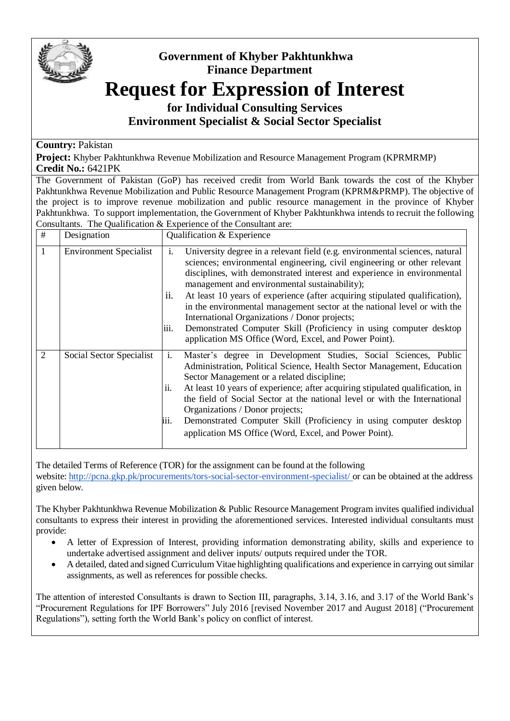

## **Government of Khyber Pakhtunkhwa Finance Department**

## **Request for Expression of Interest**

**for Individual Consulting Services Environment Specialist & Social Sector Specialist** 

## **Country:** Pakistan

**Project:** Khyber Pakhtunkhwa Revenue Mobilization and Resource Management Program (KPRMRMP) **Credit No.:** 6421PK

The Government of Pakistan (GoP) has received credit from World Bank towards the cost of the Khyber Pakhtunkhwa Revenue Mobilization and Public Resource Management Program (KPRM&PRMP). The objective of the project is to improve revenue mobilization and public resource management in the province of Khyber Pakhtunkhwa. To support implementation, the Government of Khyber Pakhtunkhwa intends to recruit the following Consultants. The Qualification & Experience of the Consultant are:

| # | Designation                   | Qualification & Experience                                                                                                                                                                                                                                                                                                                                                                                                                                                                                                                                                                                                                          |
|---|-------------------------------|-----------------------------------------------------------------------------------------------------------------------------------------------------------------------------------------------------------------------------------------------------------------------------------------------------------------------------------------------------------------------------------------------------------------------------------------------------------------------------------------------------------------------------------------------------------------------------------------------------------------------------------------------------|
| 1 | <b>Environment Specialist</b> | University degree in a relevant field (e.g. environmental sciences, natural<br>1.<br>sciences; environmental engineering, civil engineering or other relevant<br>disciplines, with demonstrated interest and experience in environmental<br>management and environmental sustainability);<br>ii.<br>At least 10 years of experience (after acquiring stipulated qualification),<br>in the environmental management sector at the national level or with the<br>International Organizations / Donor projects;<br>iii.<br>Demonstrated Computer Skill (Proficiency in using computer desktop<br>application MS Office (Word, Excel, and Power Point). |
| 2 | Social Sector Specialist      | i.<br>Master's degree in Development Studies, Social Sciences, Public<br>Administration, Political Science, Health Sector Management, Education<br>Sector Management or a related discipline;<br>At least 10 years of experience; after acquiring stipulated qualification, in<br>ii.<br>the field of Social Sector at the national level or with the International<br>Organizations / Donor projects;<br>iii.<br>Demonstrated Computer Skill (Proficiency in using computer desktop<br>application MS Office (Word, Excel, and Power Point).                                                                                                       |

The detailed Terms of Reference (TOR) for the assignment can be found at the following website: <http://pcna.gkp.pk/procurements/tors-social-sector-environment-specialist/> or can be obtained at the address

given below*.*

The Khyber Pakhtunkhwa Revenue Mobilization & Public Resource Management Program invites qualified individual consultants to express their interest in providing the aforementioned services. Interested individual consultants must provide:

- A letter of Expression of Interest, providing information demonstrating ability, skills and experience to undertake advertised assignment and deliver inputs/ outputs required under the TOR.
- A detailed, dated and signed Curriculum Vitae highlighting qualifications and experience in carrying out similar assignments, as well as references for possible checks.

The attention of interested Consultants is drawn to Section III, paragraphs, 3.14, 3.16, and 3.17 of the World Bank's "Procurement Regulations for IPF Borrowers" July 2016 [revised November 2017 and August 2018] ("Procurement Regulations"), setting forth the World Bank's policy on conflict of interest.